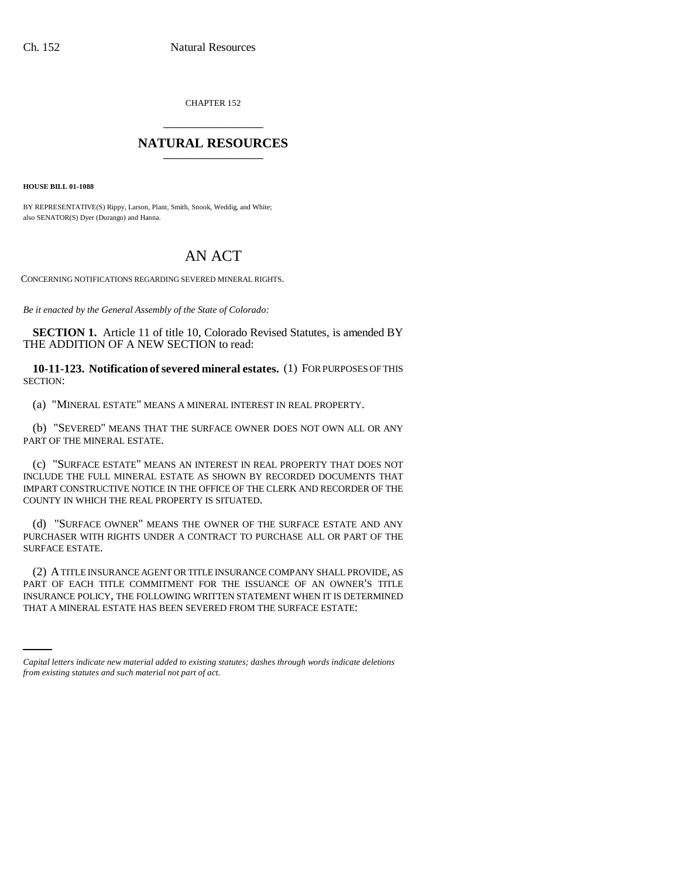CHAPTER 152 \_\_\_\_\_\_\_\_\_\_\_\_\_\_\_

## **NATURAL RESOURCES** \_\_\_\_\_\_\_\_\_\_\_\_\_\_\_

**HOUSE BILL 01-1088**

BY REPRESENTATIVE(S) Rippy, Larson, Plant, Smith, Snook, Weddig, and White; also SENATOR(S) Dyer (Durango) and Hanna.

# AN ACT

CONCERNING NOTIFICATIONS REGARDING SEVERED MINERAL RIGHTS.

*Be it enacted by the General Assembly of the State of Colorado:*

**SECTION 1.** Article 11 of title 10, Colorado Revised Statutes, is amended BY THE ADDITION OF A NEW SECTION to read:

**10-11-123. Notification of severed mineral estates.** (1) FOR PURPOSES OF THIS SECTION:

(a) "MINERAL ESTATE" MEANS A MINERAL INTEREST IN REAL PROPERTY.

(b) "SEVERED" MEANS THAT THE SURFACE OWNER DOES NOT OWN ALL OR ANY PART OF THE MINERAL ESTATE.

(c) "SURFACE ESTATE" MEANS AN INTEREST IN REAL PROPERTY THAT DOES NOT INCLUDE THE FULL MINERAL ESTATE AS SHOWN BY RECORDED DOCUMENTS THAT IMPART CONSTRUCTIVE NOTICE IN THE OFFICE OF THE CLERK AND RECORDER OF THE COUNTY IN WHICH THE REAL PROPERTY IS SITUATED.

(d) "SURFACE OWNER" MEANS THE OWNER OF THE SURFACE ESTATE AND ANY PURCHASER WITH RIGHTS UNDER A CONTRACT TO PURCHASE ALL OR PART OF THE SURFACE ESTATE.

INSURANCE POLICY, THE FOLLOWING WRITTEN STATEMENT WHEN IT IS DETERMINED (2) A TITLE INSURANCE AGENT OR TITLE INSURANCE COMPANY SHALL PROVIDE, AS PART OF EACH TITLE COMMITMENT FOR THE ISSUANCE OF AN OWNER'S TITLE THAT A MINERAL ESTATE HAS BEEN SEVERED FROM THE SURFACE ESTATE:

*Capital letters indicate new material added to existing statutes; dashes through words indicate deletions from existing statutes and such material not part of act.*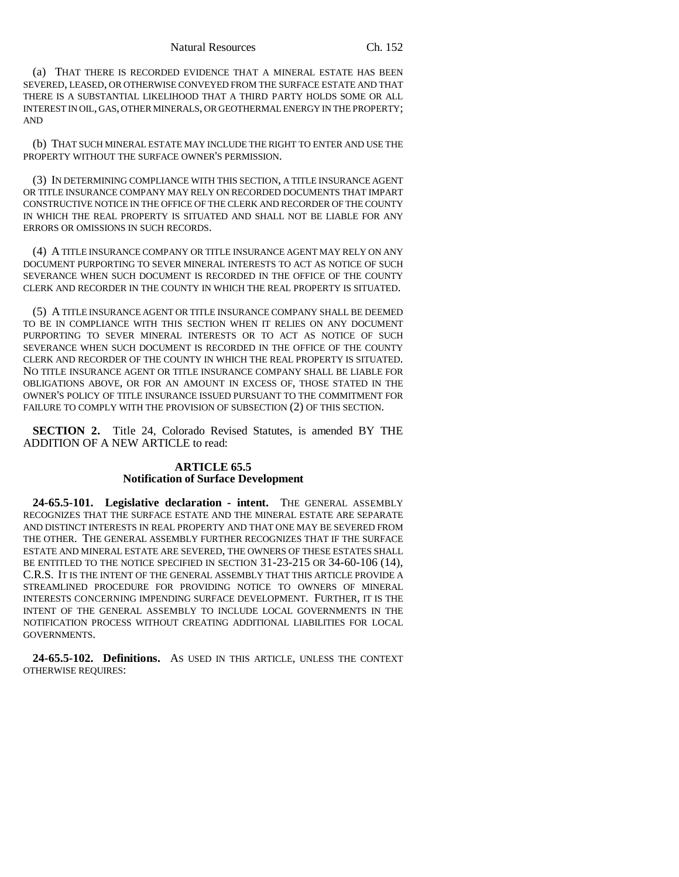(a) THAT THERE IS RECORDED EVIDENCE THAT A MINERAL ESTATE HAS BEEN SEVERED, LEASED, OR OTHERWISE CONVEYED FROM THE SURFACE ESTATE AND THAT THERE IS A SUBSTANTIAL LIKELIHOOD THAT A THIRD PARTY HOLDS SOME OR ALL INTEREST IN OIL, GAS, OTHER MINERALS, OR GEOTHERMAL ENERGY IN THE PROPERTY; AND

(b) THAT SUCH MINERAL ESTATE MAY INCLUDE THE RIGHT TO ENTER AND USE THE PROPERTY WITHOUT THE SURFACE OWNER'S PERMISSION.

(3) IN DETERMINING COMPLIANCE WITH THIS SECTION, A TITLE INSURANCE AGENT OR TITLE INSURANCE COMPANY MAY RELY ON RECORDED DOCUMENTS THAT IMPART CONSTRUCTIVE NOTICE IN THE OFFICE OF THE CLERK AND RECORDER OF THE COUNTY IN WHICH THE REAL PROPERTY IS SITUATED AND SHALL NOT BE LIABLE FOR ANY ERRORS OR OMISSIONS IN SUCH RECORDS.

(4) A TITLE INSURANCE COMPANY OR TITLE INSURANCE AGENT MAY RELY ON ANY DOCUMENT PURPORTING TO SEVER MINERAL INTERESTS TO ACT AS NOTICE OF SUCH SEVERANCE WHEN SUCH DOCUMENT IS RECORDED IN THE OFFICE OF THE COUNTY CLERK AND RECORDER IN THE COUNTY IN WHICH THE REAL PROPERTY IS SITUATED.

(5) A TITLE INSURANCE AGENT OR TITLE INSURANCE COMPANY SHALL BE DEEMED TO BE IN COMPLIANCE WITH THIS SECTION WHEN IT RELIES ON ANY DOCUMENT PURPORTING TO SEVER MINERAL INTERESTS OR TO ACT AS NOTICE OF SUCH SEVERANCE WHEN SUCH DOCUMENT IS RECORDED IN THE OFFICE OF THE COUNTY CLERK AND RECORDER OF THE COUNTY IN WHICH THE REAL PROPERTY IS SITUATED. NO TITLE INSURANCE AGENT OR TITLE INSURANCE COMPANY SHALL BE LIABLE FOR OBLIGATIONS ABOVE, OR FOR AN AMOUNT IN EXCESS OF, THOSE STATED IN THE OWNER'S POLICY OF TITLE INSURANCE ISSUED PURSUANT TO THE COMMITMENT FOR FAILURE TO COMPLY WITH THE PROVISION OF SUBSECTION (2) OF THIS SECTION.

**SECTION 2.** Title 24, Colorado Revised Statutes, is amended BY THE ADDITION OF A NEW ARTICLE to read:

### **ARTICLE 65.5 Notification of Surface Development**

**24-65.5-101. Legislative declaration - intent.** THE GENERAL ASSEMBLY RECOGNIZES THAT THE SURFACE ESTATE AND THE MINERAL ESTATE ARE SEPARATE AND DISTINCT INTERESTS IN REAL PROPERTY AND THAT ONE MAY BE SEVERED FROM THE OTHER. THE GENERAL ASSEMBLY FURTHER RECOGNIZES THAT IF THE SURFACE ESTATE AND MINERAL ESTATE ARE SEVERED, THE OWNERS OF THESE ESTATES SHALL BE ENTITLED TO THE NOTICE SPECIFIED IN SECTION 31-23-215 OR 34-60-106 (14), C.R.S. IT IS THE INTENT OF THE GENERAL ASSEMBLY THAT THIS ARTICLE PROVIDE A STREAMLINED PROCEDURE FOR PROVIDING NOTICE TO OWNERS OF MINERAL INTERESTS CONCERNING IMPENDING SURFACE DEVELOPMENT. FURTHER, IT IS THE INTENT OF THE GENERAL ASSEMBLY TO INCLUDE LOCAL GOVERNMENTS IN THE NOTIFICATION PROCESS WITHOUT CREATING ADDITIONAL LIABILITIES FOR LOCAL GOVERNMENTS.

**24-65.5-102. Definitions.** AS USED IN THIS ARTICLE, UNLESS THE CONTEXT OTHERWISE REQUIRES: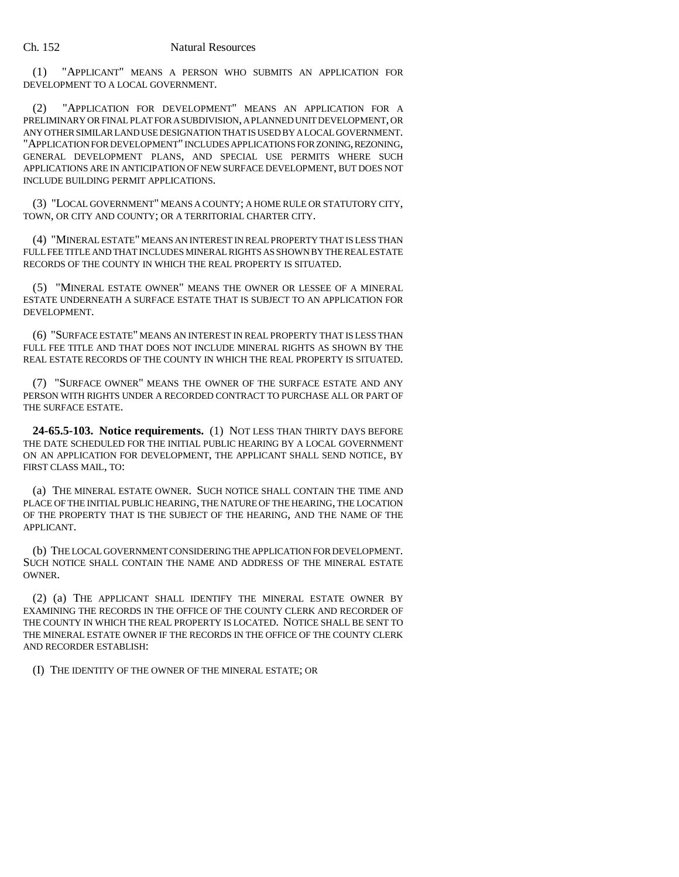(1) "APPLICANT" MEANS A PERSON WHO SUBMITS AN APPLICATION FOR DEVELOPMENT TO A LOCAL GOVERNMENT.

(2) "APPLICATION FOR DEVELOPMENT" MEANS AN APPLICATION FOR A PRELIMINARY OR FINAL PLAT FOR A SUBDIVISION, A PLANNED UNIT DEVELOPMENT, OR ANY OTHER SIMILAR LAND USE DESIGNATION THAT IS USED BY A LOCAL GOVERNMENT. "APPLICATION FOR DEVELOPMENT" INCLUDES APPLICATIONS FOR ZONING, REZONING, GENERAL DEVELOPMENT PLANS, AND SPECIAL USE PERMITS WHERE SUCH APPLICATIONS ARE IN ANTICIPATION OF NEW SURFACE DEVELOPMENT, BUT DOES NOT INCLUDE BUILDING PERMIT APPLICATIONS.

(3) "LOCAL GOVERNMENT" MEANS A COUNTY; A HOME RULE OR STATUTORY CITY, TOWN, OR CITY AND COUNTY; OR A TERRITORIAL CHARTER CITY.

(4) "MINERAL ESTATE" MEANS AN INTEREST IN REAL PROPERTY THAT IS LESS THAN FULL FEE TITLE AND THAT INCLUDES MINERAL RIGHTS AS SHOWN BY THE REAL ESTATE RECORDS OF THE COUNTY IN WHICH THE REAL PROPERTY IS SITUATED.

(5) "MINERAL ESTATE OWNER" MEANS THE OWNER OR LESSEE OF A MINERAL ESTATE UNDERNEATH A SURFACE ESTATE THAT IS SUBJECT TO AN APPLICATION FOR DEVELOPMENT.

(6) "SURFACE ESTATE" MEANS AN INTEREST IN REAL PROPERTY THAT IS LESS THAN FULL FEE TITLE AND THAT DOES NOT INCLUDE MINERAL RIGHTS AS SHOWN BY THE REAL ESTATE RECORDS OF THE COUNTY IN WHICH THE REAL PROPERTY IS SITUATED.

(7) "SURFACE OWNER" MEANS THE OWNER OF THE SURFACE ESTATE AND ANY PERSON WITH RIGHTS UNDER A RECORDED CONTRACT TO PURCHASE ALL OR PART OF THE SURFACE ESTATE.

**24-65.5-103. Notice requirements.** (1) NOT LESS THAN THIRTY DAYS BEFORE THE DATE SCHEDULED FOR THE INITIAL PUBLIC HEARING BY A LOCAL GOVERNMENT ON AN APPLICATION FOR DEVELOPMENT, THE APPLICANT SHALL SEND NOTICE, BY FIRST CLASS MAIL, TO:

(a) THE MINERAL ESTATE OWNER. SUCH NOTICE SHALL CONTAIN THE TIME AND PLACE OF THE INITIAL PUBLIC HEARING, THE NATURE OF THE HEARING, THE LOCATION OF THE PROPERTY THAT IS THE SUBJECT OF THE HEARING, AND THE NAME OF THE APPLICANT.

(b) THE LOCAL GOVERNMENT CONSIDERING THE APPLICATION FOR DEVELOPMENT. SUCH NOTICE SHALL CONTAIN THE NAME AND ADDRESS OF THE MINERAL ESTATE OWNER.

(2) (a) THE APPLICANT SHALL IDENTIFY THE MINERAL ESTATE OWNER BY EXAMINING THE RECORDS IN THE OFFICE OF THE COUNTY CLERK AND RECORDER OF THE COUNTY IN WHICH THE REAL PROPERTY IS LOCATED. NOTICE SHALL BE SENT TO THE MINERAL ESTATE OWNER IF THE RECORDS IN THE OFFICE OF THE COUNTY CLERK AND RECORDER ESTABLISH:

(I) THE IDENTITY OF THE OWNER OF THE MINERAL ESTATE; OR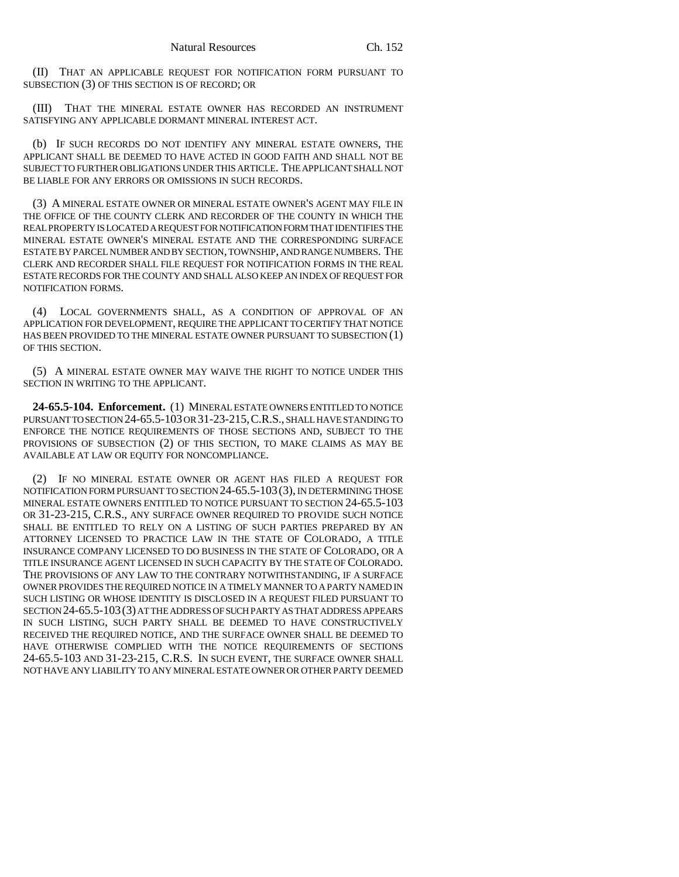(II) THAT AN APPLICABLE REQUEST FOR NOTIFICATION FORM PURSUANT TO SUBSECTION (3) OF THIS SECTION IS OF RECORD; OR

(III) THAT THE MINERAL ESTATE OWNER HAS RECORDED AN INSTRUMENT SATISFYING ANY APPLICABLE DORMANT MINERAL INTEREST ACT.

(b) IF SUCH RECORDS DO NOT IDENTIFY ANY MINERAL ESTATE OWNERS, THE APPLICANT SHALL BE DEEMED TO HAVE ACTED IN GOOD FAITH AND SHALL NOT BE SUBJECT TO FURTHER OBLIGATIONS UNDER THIS ARTICLE. THE APPLICANT SHALL NOT BE LIABLE FOR ANY ERRORS OR OMISSIONS IN SUCH RECORDS.

(3) A MINERAL ESTATE OWNER OR MINERAL ESTATE OWNER'S AGENT MAY FILE IN THE OFFICE OF THE COUNTY CLERK AND RECORDER OF THE COUNTY IN WHICH THE REAL PROPERTY IS LOCATED A REQUEST FOR NOTIFICATION FORM THAT IDENTIFIES THE MINERAL ESTATE OWNER'S MINERAL ESTATE AND THE CORRESPONDING SURFACE ESTATE BY PARCEL NUMBER AND BY SECTION, TOWNSHIP, AND RANGE NUMBERS. THE CLERK AND RECORDER SHALL FILE REQUEST FOR NOTIFICATION FORMS IN THE REAL ESTATE RECORDS FOR THE COUNTY AND SHALL ALSO KEEP AN INDEX OF REQUEST FOR NOTIFICATION FORMS.

(4) LOCAL GOVERNMENTS SHALL, AS A CONDITION OF APPROVAL OF AN APPLICATION FOR DEVELOPMENT, REQUIRE THE APPLICANT TO CERTIFY THAT NOTICE HAS BEEN PROVIDED TO THE MINERAL ESTATE OWNER PURSUANT TO SUBSECTION (1) OF THIS SECTION.

(5) A MINERAL ESTATE OWNER MAY WAIVE THE RIGHT TO NOTICE UNDER THIS SECTION IN WRITING TO THE APPLICANT.

**24-65.5-104. Enforcement.** (1) MINERAL ESTATE OWNERS ENTITLED TO NOTICE PURSUANT TO SECTION 24-65.5-103 OR 31-23-215,C.R.S., SHALL HAVE STANDING TO ENFORCE THE NOTICE REQUIREMENTS OF THOSE SECTIONS AND, SUBJECT TO THE PROVISIONS OF SUBSECTION (2) OF THIS SECTION, TO MAKE CLAIMS AS MAY BE AVAILABLE AT LAW OR EQUITY FOR NONCOMPLIANCE.

(2) IF NO MINERAL ESTATE OWNER OR AGENT HAS FILED A REQUEST FOR NOTIFICATION FORM PURSUANT TO SECTION 24-65.5-103(3), IN DETERMINING THOSE MINERAL ESTATE OWNERS ENTITLED TO NOTICE PURSUANT TO SECTION 24-65.5-103 OR 31-23-215, C.R.S., ANY SURFACE OWNER REQUIRED TO PROVIDE SUCH NOTICE SHALL BE ENTITLED TO RELY ON A LISTING OF SUCH PARTIES PREPARED BY AN ATTORNEY LICENSED TO PRACTICE LAW IN THE STATE OF COLORADO, A TITLE INSURANCE COMPANY LICENSED TO DO BUSINESS IN THE STATE OF COLORADO, OR A TITLE INSURANCE AGENT LICENSED IN SUCH CAPACITY BY THE STATE OF COLORADO. THE PROVISIONS OF ANY LAW TO THE CONTRARY NOTWITHSTANDING, IF A SURFACE OWNER PROVIDES THE REQUIRED NOTICE IN A TIMELY MANNER TO A PARTY NAMED IN SUCH LISTING OR WHOSE IDENTITY IS DISCLOSED IN A REQUEST FILED PURSUANT TO SECTION 24-65.5-103(3) AT THE ADDRESS OF SUCH PARTY AS THAT ADDRESS APPEARS IN SUCH LISTING, SUCH PARTY SHALL BE DEEMED TO HAVE CONSTRUCTIVELY RECEIVED THE REQUIRED NOTICE, AND THE SURFACE OWNER SHALL BE DEEMED TO HAVE OTHERWISE COMPLIED WITH THE NOTICE REQUIREMENTS OF SECTIONS 24-65.5-103 AND 31-23-215, C.R.S. IN SUCH EVENT, THE SURFACE OWNER SHALL NOT HAVE ANY LIABILITY TO ANY MINERAL ESTATE OWNER OR OTHER PARTY DEEMED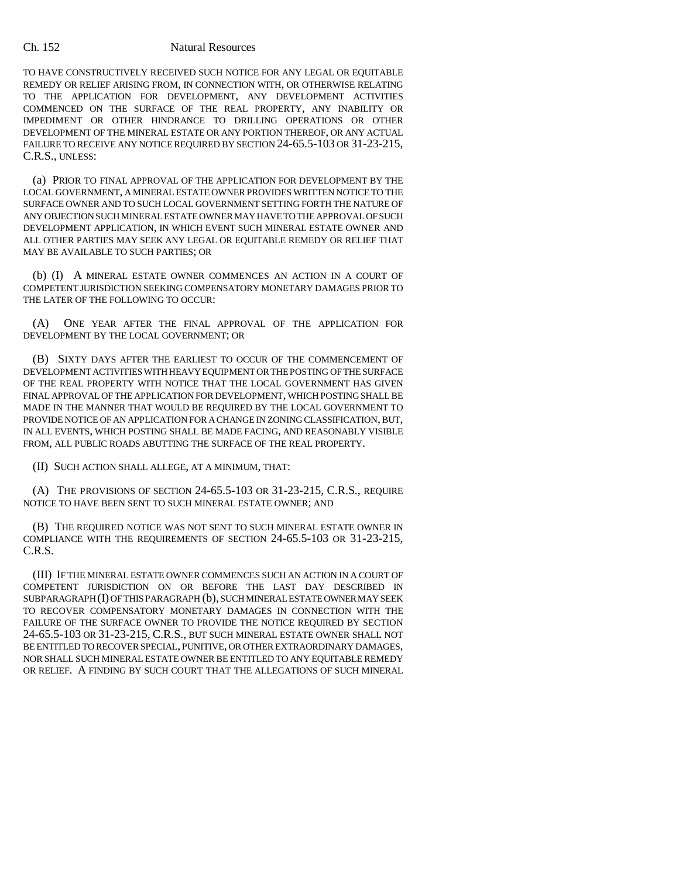### Ch. 152 Natural Resources

TO HAVE CONSTRUCTIVELY RECEIVED SUCH NOTICE FOR ANY LEGAL OR EQUITABLE REMEDY OR RELIEF ARISING FROM, IN CONNECTION WITH, OR OTHERWISE RELATING TO THE APPLICATION FOR DEVELOPMENT, ANY DEVELOPMENT ACTIVITIES COMMENCED ON THE SURFACE OF THE REAL PROPERTY, ANY INABILITY OR IMPEDIMENT OR OTHER HINDRANCE TO DRILLING OPERATIONS OR OTHER DEVELOPMENT OF THE MINERAL ESTATE OR ANY PORTION THEREOF, OR ANY ACTUAL FAILURE TO RECEIVE ANY NOTICE REQUIRED BY SECTION 24-65.5-103 OR 31-23-215, C.R.S., UNLESS:

(a) PRIOR TO FINAL APPROVAL OF THE APPLICATION FOR DEVELOPMENT BY THE LOCAL GOVERNMENT, A MINERAL ESTATE OWNER PROVIDES WRITTEN NOTICE TO THE SURFACE OWNER AND TO SUCH LOCAL GOVERNMENT SETTING FORTH THE NATURE OF ANY OBJECTION SUCH MINERAL ESTATE OWNER MAY HAVE TO THE APPROVAL OF SUCH DEVELOPMENT APPLICATION, IN WHICH EVENT SUCH MINERAL ESTATE OWNER AND ALL OTHER PARTIES MAY SEEK ANY LEGAL OR EQUITABLE REMEDY OR RELIEF THAT MAY BE AVAILABLE TO SUCH PARTIES; OR

(b) (I) A MINERAL ESTATE OWNER COMMENCES AN ACTION IN A COURT OF COMPETENT JURISDICTION SEEKING COMPENSATORY MONETARY DAMAGES PRIOR TO THE LATER OF THE FOLLOWING TO OCCUR:

(A) ONE YEAR AFTER THE FINAL APPROVAL OF THE APPLICATION FOR DEVELOPMENT BY THE LOCAL GOVERNMENT; OR

(B) SIXTY DAYS AFTER THE EARLIEST TO OCCUR OF THE COMMENCEMENT OF DEVELOPMENT ACTIVITIES WITH HEAVY EQUIPMENT OR THE POSTING OF THE SURFACE OF THE REAL PROPERTY WITH NOTICE THAT THE LOCAL GOVERNMENT HAS GIVEN FINAL APPROVAL OF THE APPLICATION FOR DEVELOPMENT, WHICH POSTING SHALL BE MADE IN THE MANNER THAT WOULD BE REQUIRED BY THE LOCAL GOVERNMENT TO PROVIDE NOTICE OF AN APPLICATION FOR A CHANGE IN ZONING CLASSIFICATION, BUT, IN ALL EVENTS, WHICH POSTING SHALL BE MADE FACING, AND REASONABLY VISIBLE FROM, ALL PUBLIC ROADS ABUTTING THE SURFACE OF THE REAL PROPERTY.

(II) SUCH ACTION SHALL ALLEGE, AT A MINIMUM, THAT:

(A) THE PROVISIONS OF SECTION 24-65.5-103 OR 31-23-215, C.R.S., REQUIRE NOTICE TO HAVE BEEN SENT TO SUCH MINERAL ESTATE OWNER; AND

(B) THE REQUIRED NOTICE WAS NOT SENT TO SUCH MINERAL ESTATE OWNER IN COMPLIANCE WITH THE REQUIREMENTS OF SECTION 24-65.5-103 OR 31-23-215, C.R.S.

(III) IF THE MINERAL ESTATE OWNER COMMENCES SUCH AN ACTION IN A COURT OF COMPETENT JURISDICTION ON OR BEFORE THE LAST DAY DESCRIBED IN SUBPARAGRAPH (I) OF THIS PARAGRAPH (b), SUCH MINERAL ESTATE OWNER MAY SEEK TO RECOVER COMPENSATORY MONETARY DAMAGES IN CONNECTION WITH THE FAILURE OF THE SURFACE OWNER TO PROVIDE THE NOTICE REQUIRED BY SECTION 24-65.5-103 OR 31-23-215, C.R.S., BUT SUCH MINERAL ESTATE OWNER SHALL NOT BE ENTITLED TO RECOVER SPECIAL, PUNITIVE, OR OTHER EXTRAORDINARY DAMAGES, NOR SHALL SUCH MINERAL ESTATE OWNER BE ENTITLED TO ANY EQUITABLE REMEDY OR RELIEF. A FINDING BY SUCH COURT THAT THE ALLEGATIONS OF SUCH MINERAL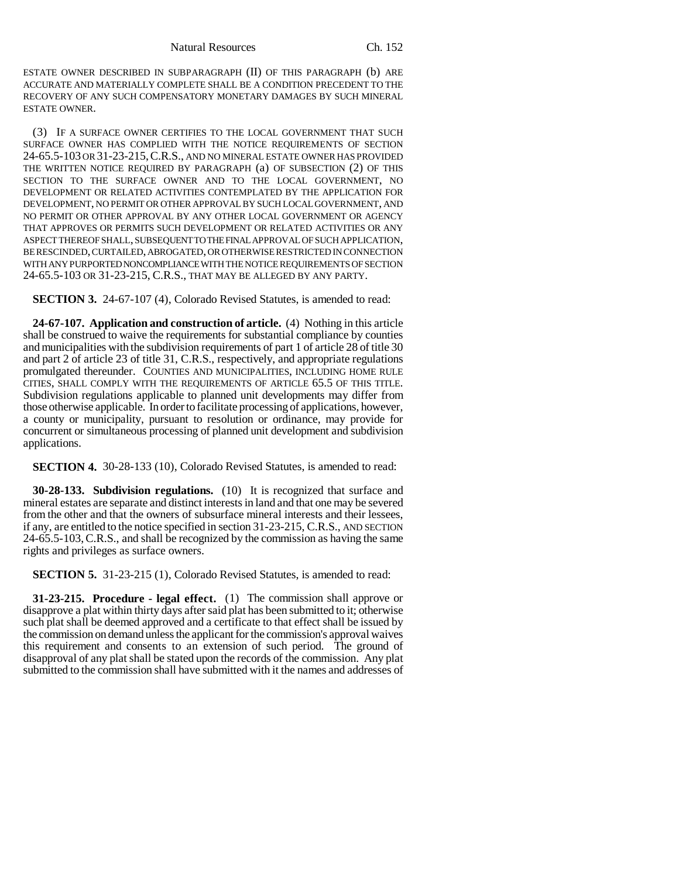ESTATE OWNER DESCRIBED IN SUBPARAGRAPH (II) OF THIS PARAGRAPH (b) ARE ACCURATE AND MATERIALLY COMPLETE SHALL BE A CONDITION PRECEDENT TO THE RECOVERY OF ANY SUCH COMPENSATORY MONETARY DAMAGES BY SUCH MINERAL ESTATE OWNER.

(3) IF A SURFACE OWNER CERTIFIES TO THE LOCAL GOVERNMENT THAT SUCH SURFACE OWNER HAS COMPLIED WITH THE NOTICE REQUIREMENTS OF SECTION 24-65.5-103 OR 31-23-215,C.R.S., AND NO MINERAL ESTATE OWNER HAS PROVIDED THE WRITTEN NOTICE REQUIRED BY PARAGRAPH (a) OF SUBSECTION (2) OF THIS SECTION TO THE SURFACE OWNER AND TO THE LOCAL GOVERNMENT, NO DEVELOPMENT OR RELATED ACTIVITIES CONTEMPLATED BY THE APPLICATION FOR DEVELOPMENT, NO PERMIT OR OTHER APPROVAL BY SUCH LOCAL GOVERNMENT, AND NO PERMIT OR OTHER APPROVAL BY ANY OTHER LOCAL GOVERNMENT OR AGENCY THAT APPROVES OR PERMITS SUCH DEVELOPMENT OR RELATED ACTIVITIES OR ANY ASPECT THEREOF SHALL, SUBSEQUENT TO THE FINAL APPROVAL OF SUCH APPLICATION, BE RESCINDED, CURTAILED, ABROGATED, OR OTHERWISE RESTRICTED IN CONNECTION WITH ANY PURPORTED NONCOMPLIANCE WITH THE NOTICE REQUIREMENTS OF SECTION 24-65.5-103 OR 31-23-215, C.R.S., THAT MAY BE ALLEGED BY ANY PARTY.

**SECTION 3.** 24-67-107 (4), Colorado Revised Statutes, is amended to read:

**24-67-107. Application and construction of article.** (4) Nothing in this article shall be construed to waive the requirements for substantial compliance by counties and municipalities with the subdivision requirements of part 1 of article 28 of title 30 and part 2 of article 23 of title 31, C.R.S., respectively, and appropriate regulations promulgated thereunder. COUNTIES AND MUNICIPALITIES, INCLUDING HOME RULE CITIES, SHALL COMPLY WITH THE REQUIREMENTS OF ARTICLE 65.5 OF THIS TITLE. Subdivision regulations applicable to planned unit developments may differ from those otherwise applicable. In order to facilitate processing of applications, however, a county or municipality, pursuant to resolution or ordinance, may provide for concurrent or simultaneous processing of planned unit development and subdivision applications.

**SECTION 4.** 30-28-133 (10), Colorado Revised Statutes, is amended to read:

**30-28-133. Subdivision regulations.** (10) It is recognized that surface and mineral estates are separate and distinct interests in land and that one may be severed from the other and that the owners of subsurface mineral interests and their lessees, if any, are entitled to the notice specified in section 31-23-215, C.R.S., AND SECTION 24-65.5-103,C.R.S., and shall be recognized by the commission as having the same rights and privileges as surface owners.

**SECTION 5.** 31-23-215 (1), Colorado Revised Statutes, is amended to read:

**31-23-215. Procedure - legal effect.** (1) The commission shall approve or disapprove a plat within thirty days after said plat has been submitted to it; otherwise such plat shall be deemed approved and a certificate to that effect shall be issued by the commission on demand unless the applicant for the commission's approval waives this requirement and consents to an extension of such period. The ground of disapproval of any plat shall be stated upon the records of the commission. Any plat submitted to the commission shall have submitted with it the names and addresses of